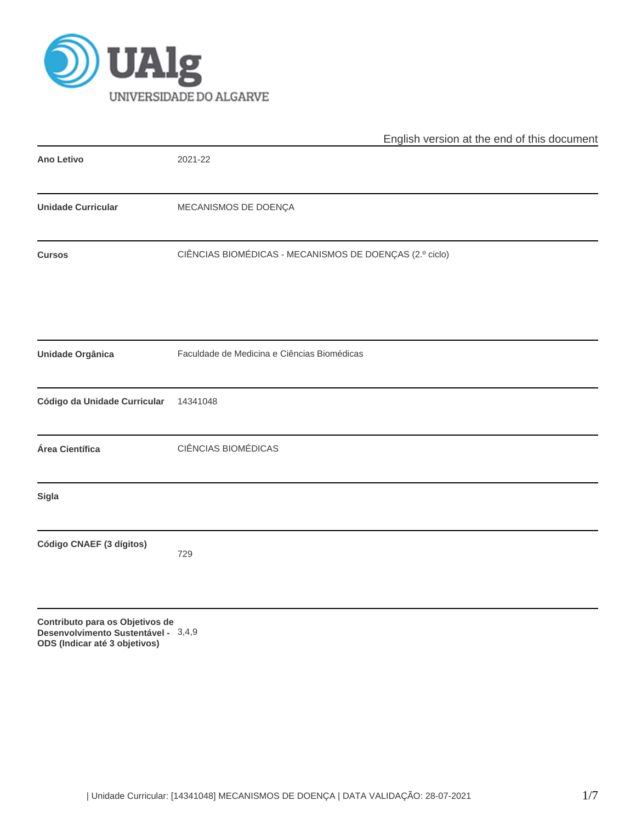

|                                                                                  | English version at the end of this document             |
|----------------------------------------------------------------------------------|---------------------------------------------------------|
| <b>Ano Letivo</b>                                                                | 2021-22                                                 |
| <b>Unidade Curricular</b>                                                        | MECANISMOS DE DOENÇA                                    |
| <b>Cursos</b>                                                                    | CIÊNCIAS BIOMÉDICAS - MECANISMOS DE DOENÇAS (2.º ciclo) |
|                                                                                  |                                                         |
| <b>Unidade Orgânica</b>                                                          | Faculdade de Medicina e Ciências Biomédicas             |
| Código da Unidade Curricular                                                     | 14341048                                                |
| Área Científica                                                                  | <b>CIÊNCIAS BIOMÉDICAS</b>                              |
| <b>Sigla</b>                                                                     |                                                         |
| Código CNAEF (3 dígitos)                                                         | 729                                                     |
| Contributo para os Objetivos de<br>and a backway of the Company of Angel 1<br>D. | 210                                                     |

**Desenvolvimento Sustentável -** 3,4,9**ODS (Indicar até 3 objetivos)**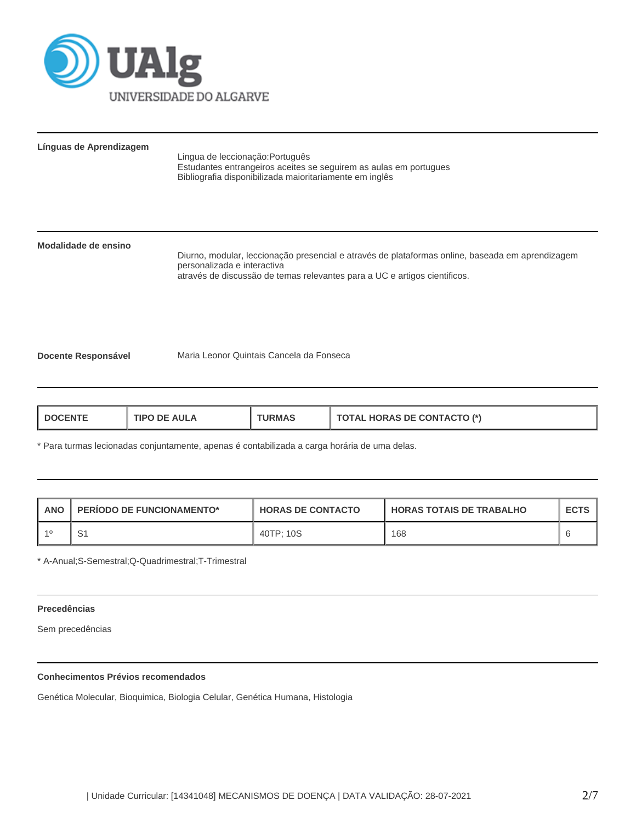

# **Línguas de Aprendizagem**

Lingua de leccionação:Português Estudantes entrangeiros aceites se seguirem as aulas em portugues Bibliografia disponibilizada maioritariamente em inglês

# **Modalidade de ensino**

Diurno, modular, leccionação presencial e através de plataformas online, baseada em aprendizagem personalizada e interactiva através de discussão de temas relevantes para a UC e artigos cientificos.

**Docente Responsável** Maria Leonor Quintais Cancela da Fonseca

| <b>AULA</b><br>L DOCENTI<br>חפו־<br>DE. | JRMA. | <b>TOTAL HORAS DE CONTACTO (*)</b> |
|-----------------------------------------|-------|------------------------------------|
|-----------------------------------------|-------|------------------------------------|

\* Para turmas lecionadas conjuntamente, apenas é contabilizada a carga horária de uma delas.

| ANO | <b>PERIODO DE FUNCIONAMENTO*</b> | <b>HORAS DE CONTACTO</b> | <b>HORAS TOTAIS DE TRABALHO</b> | <b>ECTS</b> |
|-----|----------------------------------|--------------------------|---------------------------------|-------------|
|     | c,                               | 40TP: 10S                | 168                             |             |

\* A-Anual;S-Semestral;Q-Quadrimestral;T-Trimestral

#### **Precedências**

Sem precedências

# **Conhecimentos Prévios recomendados**

Genética Molecular, Bioquimica, Biologia Celular, Genética Humana, Histologia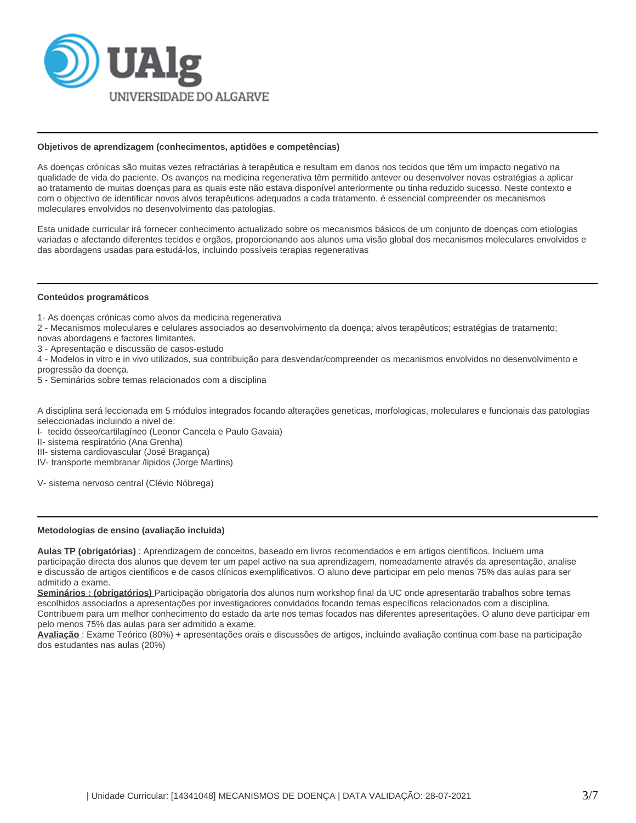

#### **Objetivos de aprendizagem (conhecimentos, aptidões e competências)**

As doenças crónicas são muitas vezes refractárias à terapêutica e resultam em danos nos tecidos que têm um impacto negativo na qualidade de vida do paciente. Os avanços na medicina regenerativa têm permitido antever ou desenvolver novas estratégias a aplicar ao tratamento de muitas doenças para as quais este não estava disponível anteriormente ou tinha reduzido sucesso. Neste contexto e com o objectivo de identificar novos alvos terapêuticos adequados a cada tratamento, é essencial compreender os mecanismos moleculares envolvidos no desenvolvimento das patologias.

Esta unidade curricular irá fornecer conhecimento actualizado sobre os mecanismos básicos de um conjunto de doenças com etiologias variadas e afectando diferentes tecidos e orgãos, proporcionando aos alunos uma visão global dos mecanismos moleculares envolvidos e das abordagens usadas para estudá-los, incluindo possíveis terapias regenerativas

### **Conteúdos programáticos**

1- As doenças crónicas como alvos da medicina regenerativa

2 - Mecanismos moleculares e celulares associados ao desenvolvimento da doença; alvos terapêuticos; estratégias de tratamento;

novas abordagens e factores limitantes.

3 - Apresentação e discussão de casos-estudo

4 - Modelos in vitro e in vivo utilizados, sua contribuição para desvendar/compreender os mecanismos envolvidos no desenvolvimento e progressão da doença.

5 - Seminários sobre temas relacionados com a disciplina

A disciplina será leccionada em 5 módulos integrados focando alterações geneticas, morfologicas, moleculares e funcionais das patologias seleccionadas incluindo a nivel de:

I- tecido ósseo/cartilagíneo (Leonor Cancela e Paulo Gavaia)

II- sistema respiratório (Ana Grenha)

III- sistema cardiovascular (José Bragança)

IV- transporte membranar /lipidos (Jorge Martins)

V- sistema nervoso central (Clévio Nóbrega)

# **Metodologias de ensino (avaliação incluída)**

**Aulas TP (obrigatórias)** : Aprendizagem de conceitos, baseado em livros recomendados e em artigos científicos. Incluem uma participação directa dos alunos que devem ter um papel activo na sua aprendizagem, nomeadamente através da apresentação, analise e discussão de artigos científicos e de casos clínicos exemplificativos. O aluno deve participar em pelo menos 75% das aulas para ser admitido a exame.

**Seminários : (obrigatórios)** Participação obrigatoria dos alunos num workshop final da UC onde apresentarão trabalhos sobre temas escolhidos associados a apresentações por investigadores convidados focando temas específicos relacionados com a disciplina. Contribuem para um melhor conhecimento do estado da arte nos temas focados nas diferentes apresentações. O aluno deve participar em pelo menos 75% das aulas para ser admitido a exame.

**Avaliação** : Exame Teórico (80%) + apresentações orais e discussões de artigos, incluindo avaliação continua com base na participação dos estudantes nas aulas (20%)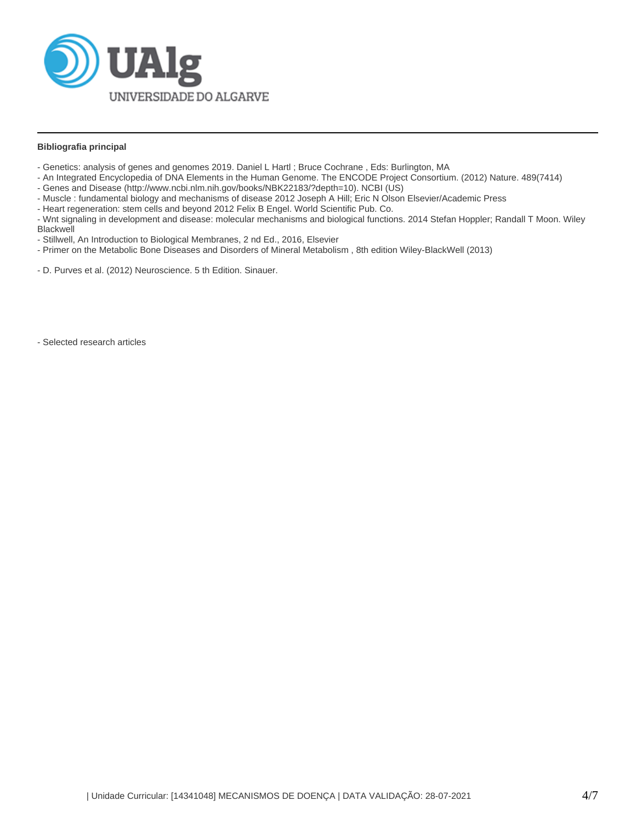

## **Bibliografia principal**

- Genetics: analysis of genes and genomes 2019. Daniel L Hartl ; Bruce Cochrane , Eds: Burlington, MA
- An Integrated Encyclopedia of DNA Elements in the Human Genome. The ENCODE Project Consortium. (2012) Nature. 489(7414)
- Genes and Disease (http://www.ncbi.nlm.nih.gov/books/NBK22183/?depth=10). NCBI (US)
- Muscle : fundamental biology and mechanisms of disease 2012 Joseph A Hill; Eric N Olson Elsevier/Academic Press
- Heart regeneration: stem cells and beyond 2012 Felix B Engel. World Scientific Pub. Co.

- Wnt signaling in development and disease: molecular mechanisms and biological functions. 2014 Stefan Hoppler; Randall T Moon. Wiley Blackwell

- Stillwell, An Introduction to Biological Membranes, 2 nd Ed., 2016, Elsevier
- Primer on the Metabolic Bone Diseases and Disorders of Mineral Metabolism , 8th edition Wiley-BlackWell (2013)
- D. Purves et al. (2012) Neuroscience. 5 th Edition. Sinauer.

- Selected research articles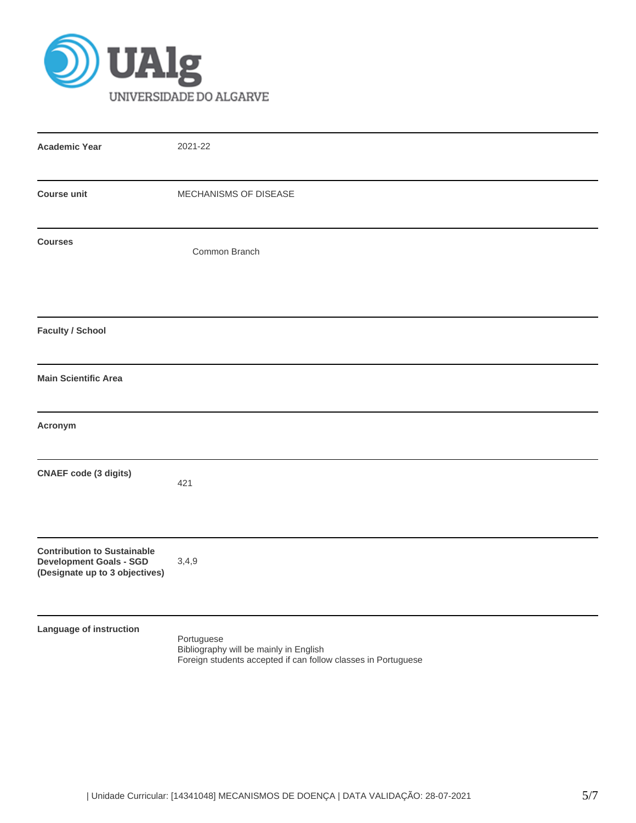

| <b>Academic Year</b>                                                                                   | 2021-22                                                                                                               |
|--------------------------------------------------------------------------------------------------------|-----------------------------------------------------------------------------------------------------------------------|
| <b>Course unit</b>                                                                                     | MECHANISMS OF DISEASE                                                                                                 |
| <b>Courses</b>                                                                                         | Common Branch                                                                                                         |
| <b>Faculty / School</b>                                                                                |                                                                                                                       |
| <b>Main Scientific Area</b>                                                                            |                                                                                                                       |
| Acronym                                                                                                |                                                                                                                       |
| <b>CNAEF</b> code (3 digits)                                                                           | 421                                                                                                                   |
| <b>Contribution to Sustainable</b><br><b>Development Goals - SGD</b><br>(Designate up to 3 objectives) | 3,4,9                                                                                                                 |
| Language of instruction                                                                                | Portuguese<br>Bibliography will be mainly in English<br>Foreign students accepted if can follow classes in Portuguese |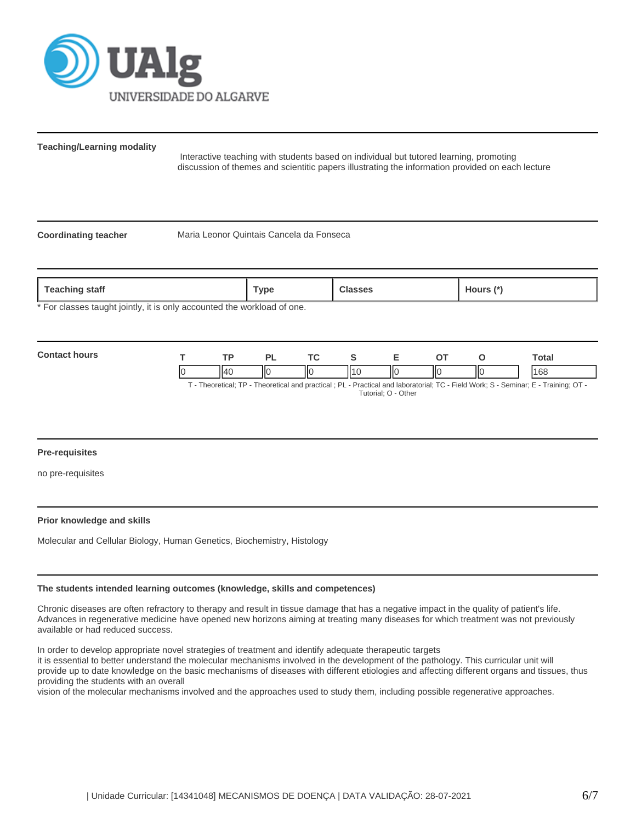

**Teaching/Learning modality**

 Interactive teaching with students based on individual but tutored learning, promoting discussion of themes and scientitic papers illustrating the information provided on each lecture

**Coordinating teacher** Maria Leonor Quintais Cancela da Fonseca

| Teaching staff                                                                                                      | <b>Гуре</b> | Classes | Hours (*) |
|---------------------------------------------------------------------------------------------------------------------|-------------|---------|-----------|
| . ♦ Flow of a solid to contact the factor of the second contact that is contacted and solid and solid of the second |             |         |           |

For classes taught jointly, it is only accounted the workload of one.

| Contar<br><b>OUTE</b> | тr   | ום  | TO. |     | - | ~-  |     | Гоtal |
|-----------------------|------|-----|-----|-----|---|-----|-----|-------|
|                       | II40 | IІC | IІC | 114 | Ш | IІC | IІC | 168   |

T - Theoretical; TP - Theoretical and practical ; PL - Practical and laboratorial; TC - Field Work; S - Seminar; E - Training; OT - Tutorial; O - Other

### **Pre-requisites**

no pre-requisites

### **Prior knowledge and skills**

Molecular and Cellular Biology, Human Genetics, Biochemistry, Histology

#### **The students intended learning outcomes (knowledge, skills and competences)**

Chronic diseases are often refractory to therapy and result in tissue damage that has a negative impact in the quality of patient's life. Advances in regenerative medicine have opened new horizons aiming at treating many diseases for which treatment was not previously available or had reduced success.

In order to develop appropriate novel strategies of treatment and identify adequate therapeutic targets

it is essential to better understand the molecular mechanisms involved in the development of the pathology. This curricular unit will provide up to date knowledge on the basic mechanisms of diseases with different etiologies and affecting different organs and tissues, thus providing the students with an overall

vision of the molecular mechanisms involved and the approaches used to study them, including possible regenerative approaches.